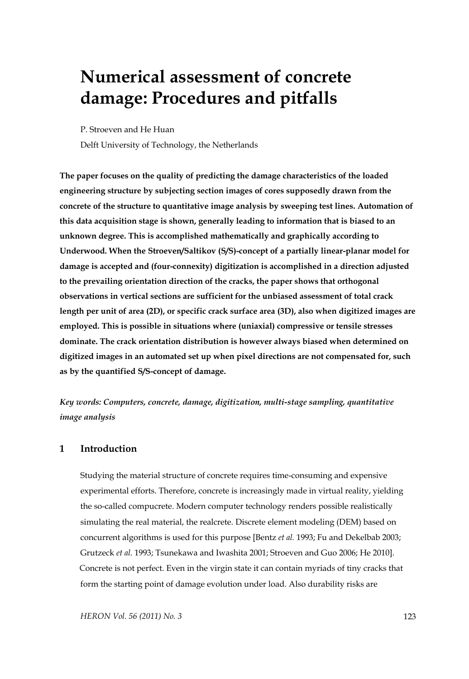# **Numerical assessment of concrete damage: Procedures and pitfalls**

P. Stroeven and He Huan

Delft University of Technology, the Netherlands

**The paper focuses on the quality of predicting the damage characteristics of the loaded engineering structure by subjecting section images of cores supposedly drawn from the concrete of the structure to quantitative image analysis by sweeping test lines. Automation of this data acquisition stage is shown, generally leading to information that is biased to an unknown degree. This is accomplished mathematically and graphically according to Underwood. When the Stroeven/Saltikov (S/S)-concept of a partially linear-planar model for damage is accepted and (four-connexity) digitization is accomplished in a direction adjusted to the prevailing orientation direction of the cracks, the paper shows that orthogonal observations in vertical sections are sufficient for the unbiased assessment of total crack length per unit of area (2D), or specific crack surface area (3D), also when digitized images are employed. This is possible in situations where (uniaxial) compressive or tensile stresses dominate. The crack orientation distribution is however always biased when determined on digitized images in an automated set up when pixel directions are not compensated for, such as by the quantified S/S-concept of damage.** 

*Key words: Computers, concrete, damage, digitization, multi-stage sampling, quantitative image analysis* 

#### **1 Introduction**

Studying the material structure of concrete requires time-consuming and expensive experimental efforts. Therefore, concrete is increasingly made in virtual reality, yielding the so-called compucrete. Modern computer technology renders possible realistically simulating the real material, the realcrete. Discrete element modeling (DEM) based on concurrent algorithms is used for this purpose [Bentz *et al.* 1993; Fu and Dekelbab 2003; Grutzeck *et al.* 1993; Tsunekawa and Iwashita 2001; Stroeven and Guo 2006; He 2010]. Concrete is not perfect. Even in the virgin state it can contain myriads of tiny cracks that form the starting point of damage evolution under load. Also durability risks are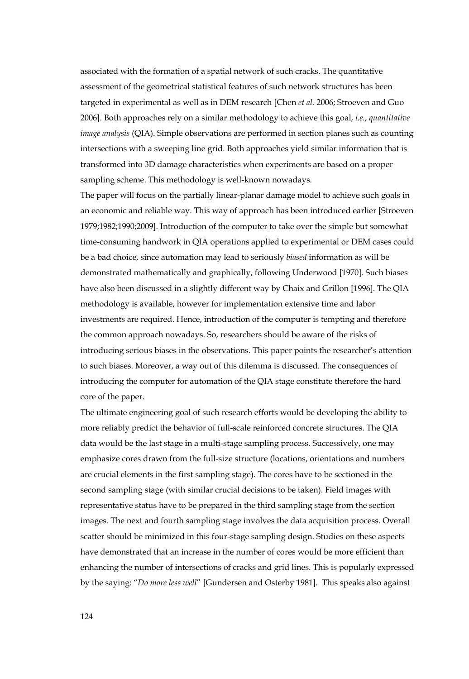associated with the formation of a spatial network of such cracks. The quantitative assessment of the geometrical statistical features of such network structures has been targeted in experimental as well as in DEM research [Chen *et al.* 2006; Stroeven and Guo 2006]. Both approaches rely on a similar methodology to achieve this goal, *i.e.*, *quantitative image analysis* (QIA). Simple observations are performed in section planes such as counting intersections with a sweeping line grid. Both approaches yield similar information that is transformed into 3D damage characteristics when experiments are based on a proper sampling scheme. This methodology is well-known nowadays.

The paper will focus on the partially linear-planar damage model to achieve such goals in an economic and reliable way. This way of approach has been introduced earlier [Stroeven 1979;1982;1990;2009]. Introduction of the computer to take over the simple but somewhat time-consuming handwork in QIA operations applied to experimental or DEM cases could be a bad choice, since automation may lead to seriously *biased* information as will be demonstrated mathematically and graphically, following Underwood [1970]. Such biases have also been discussed in a slightly different way by Chaix and Grillon [1996]. The QIA methodology is available, however for implementation extensive time and labor investments are required. Hence, introduction of the computer is tempting and therefore the common approach nowadays. So, researchers should be aware of the risks of introducing serious biases in the observations. This paper points the researcher's attention to such biases. Moreover, a way out of this dilemma is discussed. The consequences of introducing the computer for automation of the QIA stage constitute therefore the hard core of the paper.

The ultimate engineering goal of such research efforts would be developing the ability to more reliably predict the behavior of full-scale reinforced concrete structures. The QIA data would be the last stage in a multi-stage sampling process. Successively, one may emphasize cores drawn from the full-size structure (locations, orientations and numbers are crucial elements in the first sampling stage). The cores have to be sectioned in the second sampling stage (with similar crucial decisions to be taken). Field images with representative status have to be prepared in the third sampling stage from the section images. The next and fourth sampling stage involves the data acquisition process. Overall scatter should be minimized in this four-stage sampling design. Studies on these aspects have demonstrated that an increase in the number of cores would be more efficient than enhancing the number of intersections of cracks and grid lines. This is popularly expressed by the saying: "*Do more less well*" [Gundersen and Osterby 1981]. This speaks also against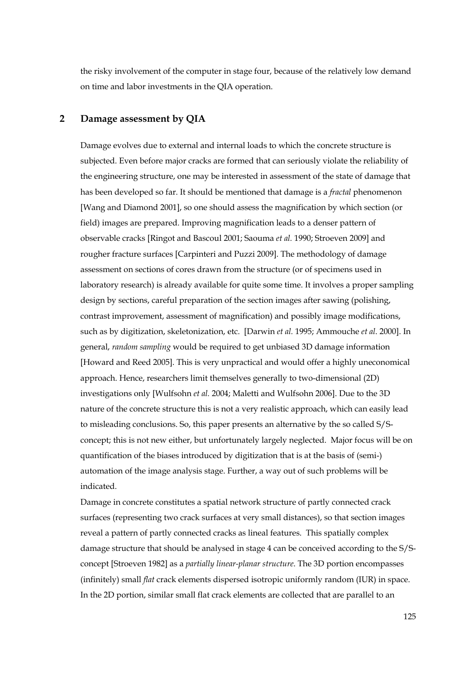the risky involvement of the computer in stage four, because of the relatively low demand on time and labor investments in the QIA operation.

# **2 Damage assessment by QIA**

Damage evolves due to external and internal loads to which the concrete structure is subjected. Even before major cracks are formed that can seriously violate the reliability of the engineering structure, one may be interested in assessment of the state of damage that has been developed so far. It should be mentioned that damage is a *fractal* phenomenon [Wang and Diamond 2001], so one should assess the magnification by which section (or field) images are prepared. Improving magnification leads to a denser pattern of observable cracks [Ringot and Bascoul 2001; Saouma *et al.* 1990; Stroeven 2009] and rougher fracture surfaces [Carpinteri and Puzzi 2009]. The methodology of damage assessment on sections of cores drawn from the structure (or of specimens used in laboratory research) is already available for quite some time. It involves a proper sampling design by sections, careful preparation of the section images after sawing (polishing, contrast improvement, assessment of magnification) and possibly image modifications, such as by digitization, skeletonization, etc. [Darwin *et al.* 1995; Ammouche *et al*. 2000]. In general, *random sampling* would be required to get unbiased 3D damage information [Howard and Reed 2005]. This is very unpractical and would offer a highly uneconomical approach. Hence, researchers limit themselves generally to two-dimensional (2D) investigations only [Wulfsohn *et al.* 2004; Maletti and Wulfsohn 2006]. Due to the 3D nature of the concrete structure this is not a very realistic approach, which can easily lead to misleading conclusions. So, this paper presents an alternative by the so called S/Sconcept; this is not new either, but unfortunately largely neglected. Major focus will be on quantification of the biases introduced by digitization that is at the basis of (semi-) automation of the image analysis stage. Further, a way out of such problems will be indicated.

Damage in concrete constitutes a spatial network structure of partly connected crack surfaces (representing two crack surfaces at very small distances), so that section images reveal a pattern of partly connected cracks as lineal features. This spatially complex damage structure that should be analysed in stage 4 can be conceived according to the S/Sconcept [Stroeven 1982] as a *partially linear-planar structure*. The 3D portion encompasses (infinitely) small *flat* crack elements dispersed isotropic uniformly random (IUR) in space. In the 2D portion, similar small flat crack elements are collected that are parallel to an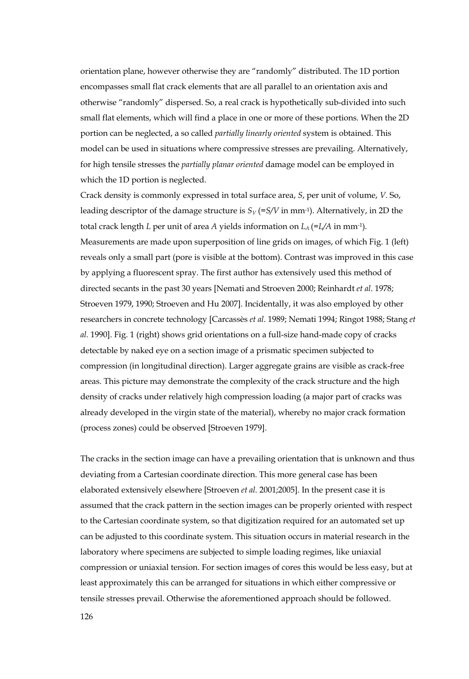orientation plane, however otherwise they are "randomly" distributed. The 1D portion encompasses small flat crack elements that are all parallel to an orientation axis and otherwise "randomly" dispersed. So, a real crack is hypothetically sub-divided into such small flat elements, which will find a place in one or more of these portions. When the 2D portion can be neglected, a so called *partially linearly oriented* system is obtained. This model can be used in situations where compressive stresses are prevailing. Alternatively, for high tensile stresses the *partially planar oriented* damage model can be employed in which the 1D portion is neglected.

Crack density is commonly expressed in total surface area, *S*, per unit of volume, *V.* So, leading descriptor of the damage structure is  $S_V$  (=*S/V* in mm<sup>-1</sup>). Alternatively, in 2D the total crack length *L* per unit of area *A* yields information on *LA* (=*L/A* in mm-1). Measurements are made upon superposition of line grids on images, of which Fig. 1 (left) reveals only a small part (pore is visible at the bottom). Contrast was improved in this case by applying a fluorescent spray. The first author has extensively used this method of directed secants in the past 30 years [Nemati and Stroeven 2000; Reinhardt *et al*. 1978; Stroeven 1979, 1990; Stroeven and Hu 2007]. Incidentally, it was also employed by other researchers in concrete technology [Carcassès *et al*. 1989; Nemati 1994; Ringot 1988; Stang *et al.* 1990]. Fig. 1 (right) shows grid orientations on a full-size hand-made copy of cracks detectable by naked eye on a section image of a prismatic specimen subjected to compression (in longitudinal direction). Larger aggregate grains are visible as crack-free areas. This picture may demonstrate the complexity of the crack structure and the high density of cracks under relatively high compression loading (a major part of cracks was already developed in the virgin state of the material), whereby no major crack formation (process zones) could be observed [Stroeven 1979].

The cracks in the section image can have a prevailing orientation that is unknown and thus deviating from a Cartesian coordinate direction. This more general case has been elaborated extensively elsewhere [Stroeven *et al.* 2001;2005]. In the present case it is assumed that the crack pattern in the section images can be properly oriented with respect to the Cartesian coordinate system, so that digitization required for an automated set up can be adjusted to this coordinate system. This situation occurs in material research in the laboratory where specimens are subjected to simple loading regimes, like uniaxial compression or uniaxial tension. For section images of cores this would be less easy, but at least approximately this can be arranged for situations in which either compressive or tensile stresses prevail. Otherwise the aforementioned approach should be followed.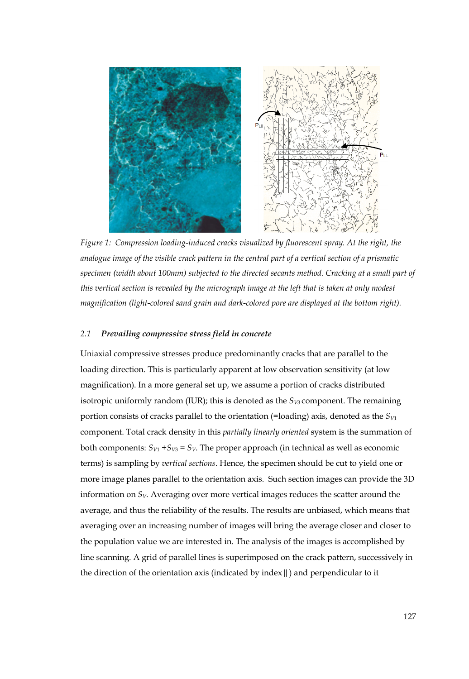

*Figure 1: Compression loading-induced cracks visualized by fluorescent spray. At the right, the analogue image of the visible crack pattern in the central part of a vertical section of a prismatic specimen (width about 100mm) subjected to the directed secants method. Cracking at a small part of this vertical section is revealed by the micrograph image at the left that is taken at only modest magnification (light-colored sand grain and dark-colored pore are displayed at the bottom right).* 

## *2.1 Prevailing compressive stress field in concrete*

Uniaxial compressive stresses produce predominantly cracks that are parallel to the loading direction. This is particularly apparent at low observation sensitivity (at low magnification). In a more general set up, we assume a portion of cracks distributed isotropic uniformly random (IUR); this is denoted as the  $S_{V3}$  component. The remaining portion consists of cracks parallel to the orientation (=loading) axis, denoted as the *SV*<sup>1</sup> component. Total crack density in this *partially linearly oriented* system is the summation of both components:  $S_{V1} + S_{V3} = S_V$ . The proper approach (in technical as well as economic terms) is sampling by *vertical sections*. Hence, the specimen should be cut to yield one or more image planes parallel to the orientation axis. Such section images can provide the 3D information on  $S_V$ . Averaging over more vertical images reduces the scatter around the average, and thus the reliability of the results. The results are unbiased, which means that averaging over an increasing number of images will bring the average closer and closer to the population value we are interested in. The analysis of the images is accomplished by line scanning. A grid of parallel lines is superimposed on the crack pattern, successively in the direction of the orientation axis (indicated by index  $\parallel$  ) and perpendicular to it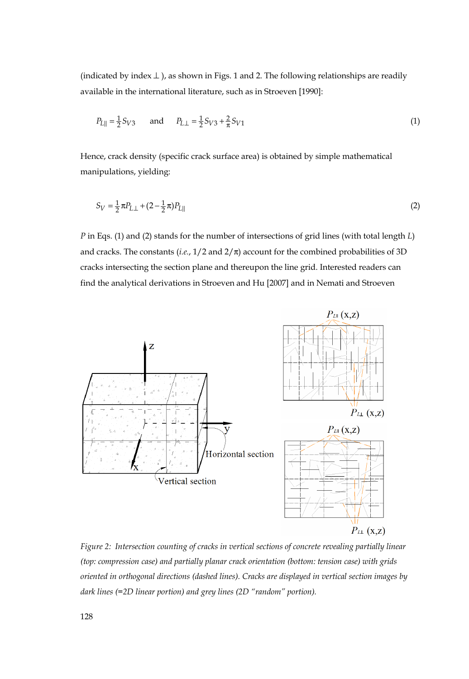(indicated by index  $\perp$ ), as shown in Figs. 1 and 2. The following relationships are readily available in the international literature, such as in Stroeven [1990]:

$$
P_{L||} = \frac{1}{2} S_{V3} \quad \text{and} \quad P_{L\perp} = \frac{1}{2} S_{V3} + \frac{2}{\pi} S_{V1} \tag{1}
$$

Hence, crack density (specific crack surface area) is obtained by simple mathematical manipulations, yielding:

$$
S_V = \frac{1}{2}\pi P_{L\perp} + (2 - \frac{1}{2}\pi)P_{L||}
$$
\n(2)

*P* in Eqs. (1) and (2) stands for the number of intersections of grid lines (with total length *L*) and cracks. The constants (*i.e.*,  $1/2$  and  $2/\pi$ ) account for the combined probabilities of 3D cracks intersecting the section plane and thereupon the line grid. Interested readers can find the analytical derivations in Stroeven and Hu [2007] and in Nemati and Stroeven



*Figure 2: Intersection counting of cracks in vertical sections of concrete revealing partially linear (top: compression case) and partially planar crack orientation (bottom: tension case) with grids oriented in orthogonal directions (dashed lines). Cracks are displayed in vertical section images by dark lines (=2D linear portion) and grey lines (2D "random" portion).*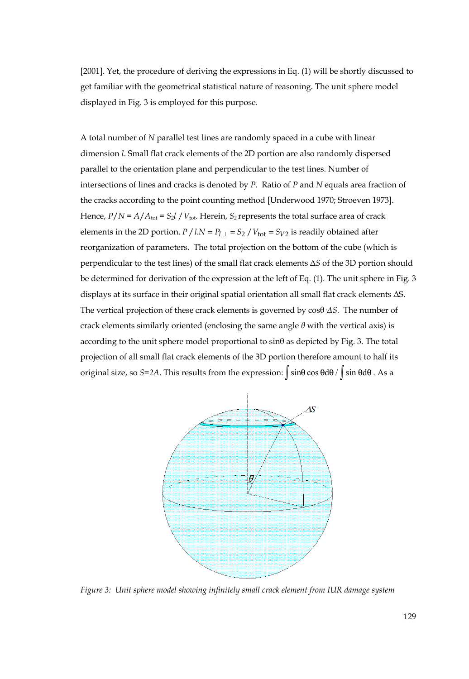[2001]. Yet, the procedure of deriving the expressions in Eq. (1) will be shortly discussed to get familiar with the geometrical statistical nature of reasoning. The unit sphere model displayed in Fig. 3 is employed for this purpose.

A total number of *N* parallel test lines are randomly spaced in a cube with linear dimension *l*. Small flat crack elements of the 2D portion are also randomly dispersed parallel to the orientation plane and perpendicular to the test lines. Number of intersections of lines and cracks is denoted by *P*. Ratio of *P* and *N* equals area fraction of the cracks according to the point counting method [Underwood 1970; Stroeven 1973]. Hence,  $P/N = A/A_{\text{tot}} = S_2 l / V_{\text{tot}}$ . Herein,  $S_2$  represents the total surface area of crack elements in the 2D portion.  $P / l.N = P_{L\perp} = S_2 / V_{\text{tot}} = S_{V2}$  is readily obtained after reorganization of parameters. The total projection on the bottom of the cube (which is perpendicular to the test lines) of the small flat crack elements Δ*S* of the 3D portion should be determined for derivation of the expression at the left of Eq. (1). The unit sphere in Fig. 3 displays at its surface in their original spatial orientation all small flat crack elements ΔS. The vertical projection of these crack elements is governed by cosθ*·ΔS*. The number of crack elements similarly oriented (enclosing the same angle *θ* with the vertical axis) is according to the unit sphere model proportional to  $\sin\theta$  as depicted by Fig. 3. The total projection of all small flat crack elements of the 3D portion therefore amount to half its original size, so *S*=2A. This results from the expression:  $\int \sin \theta \cos \theta d\theta / \int \sin \theta d\theta$ . As a



*Figure 3: Unit sphere model showing infinitely small crack element from IUR damage system*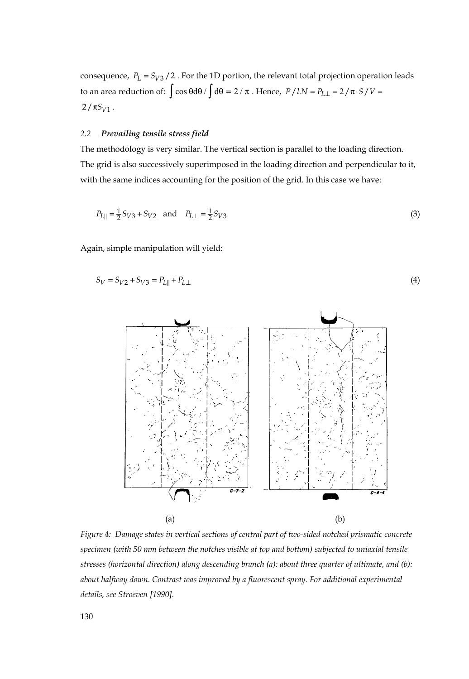consequence,  $P_L = S_{V3} / 2$ . For the 1D portion, the relevant total projection operation leads to an area reduction of:  $\int \cos \theta d\theta / \int d\theta = 2 / \pi$ . Hence,  $P / l.N = P_{L \perp} = 2 / \pi \cdot S / V =$  $2 / \pi S_{V1}$ .

#### *2.2 Prevailing tensile stress field*

The methodology is very similar. The vertical section is parallel to the loading direction. The grid is also successively superimposed in the loading direction and perpendicular to it, with the same indices accounting for the position of the grid. In this case we have:

$$
P_{L||} = \frac{1}{2} S_{V3} + S_{V2} \quad \text{and} \quad P_{L\perp} = \frac{1}{2} S_{V3} \tag{3}
$$

Again, simple manipulation will yield:

$$
S_V = S_{V2} + S_{V3} = P_{L||} + P_{L\perp}
$$
\n(4)



*Figure 4: Damage states in vertical sections of central part of two-sided notched prismatic concrete specimen (with 50 mm between the notches visible at top and bottom) subjected to uniaxial tensile stresses (horizontal direction) along descending branch (a): about three quarter of ultimate, and (b): about halfway down. Contrast was improved by a fluorescent spray. For additional experimental details, see Stroeven [1990].*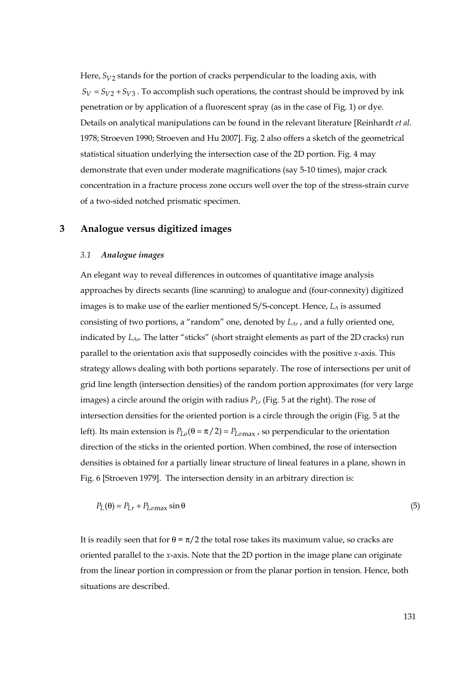Here,  $S_{V2}$  stands for the portion of cracks perpendicular to the loading axis, with  $S_V = S_{V2} + S_{V3}$ . To accomplish such operations, the contrast should be improved by ink penetration or by application of a fluorescent spray (as in the case of Fig. 1) or dye. Details on analytical manipulations can be found in the relevant literature [Reinhardt *et al*. 1978; Stroeven 1990; Stroeven and Hu 2007]. Fig. 2 also offers a sketch of the geometrical statistical situation underlying the intersection case of the 2D portion. Fig. 4 may demonstrate that even under moderate magnifications (say 5-10 times), major crack concentration in a fracture process zone occurs well over the top of the stress-strain curve of a two-sided notched prismatic specimen.

## **3 Analogue versus digitized images**

#### *3.1 Analogue images*

An elegant way to reveal differences in outcomes of quantitative image analysis approaches by directs secants (line scanning) to analogue and (four-connexity) digitized images is to make use of the earlier mentioned S/S-concept. Hence, *LA* is assumed consisting of two portions, a "random" one, denoted by *LAr* , and a fully oriented one, indicated by *LAo*. The latter "sticks" (short straight elements as part of the 2D cracks) run parallel to the orientation axis that supposedly coincides with the positive *x*-axis*.* This strategy allows dealing with both portions separately. The rose of intersections per unit of grid line length (intersection densities) of the random portion approximates (for very large images) a circle around the origin with radius *PLr* (Fig. 5 at the right). The rose of intersection densities for the oriented portion is a circle through the origin (Fig. 5 at the left). Its main extension is  $P_{I,o}(\theta = \pi / 2) = P_{I,omax}$ , so perpendicular to the orientation direction of the sticks in the oriented portion. When combined, the rose of intersection densities is obtained for a partially linear structure of lineal features in a plane, shown in Fig. 6 [Stroeven 1979]. The intersection density in an arbitrary direction is:

$$
P_L(\theta) = P_{Lr} + P_{Lomax} \sin \theta \tag{5}
$$

It is readily seen that for  $\theta = \pi/2$  the total rose takes its maximum value, so cracks are oriented parallel to the *x*-axis. Note that the 2D portion in the image plane can originate from the linear portion in compression or from the planar portion in tension. Hence, both situations are described.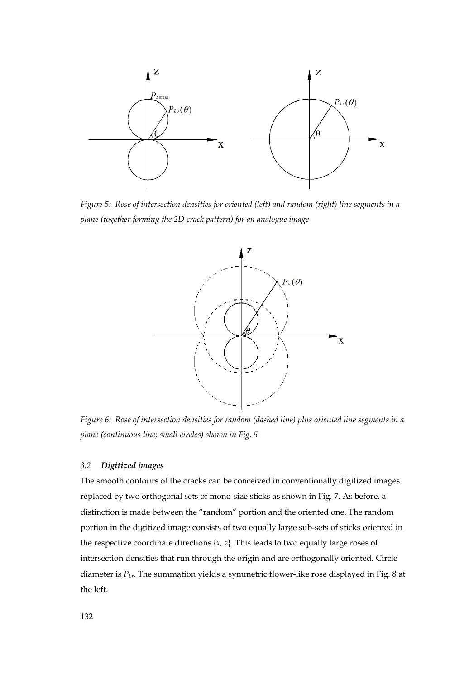

*Figure 5: Rose of intersection densities for oriented (left) and random (right) line segments in a plane (together forming the 2D crack pattern) for an analogue image* 



*Figure 6: Rose of intersection densities for random (dashed line) plus oriented line segments in a plane (continuous line; small circles) shown in Fig. 5* 

#### *3.2 Digitized images*

The smooth contours of the cracks can be conceived in conventionally digitized images replaced by two orthogonal sets of mono-size sticks as shown in Fig. 7. As before, a distinction is made between the "random" portion and the oriented one. The random portion in the digitized image consists of two equally large sub-sets of sticks oriented in the respective coordinate directions {*x, z*}. This leads to two equally large roses of intersection densities that run through the origin and are orthogonally oriented. Circle diameter is *PLr*. The summation yields a symmetric flower-like rose displayed in Fig. 8 at the left.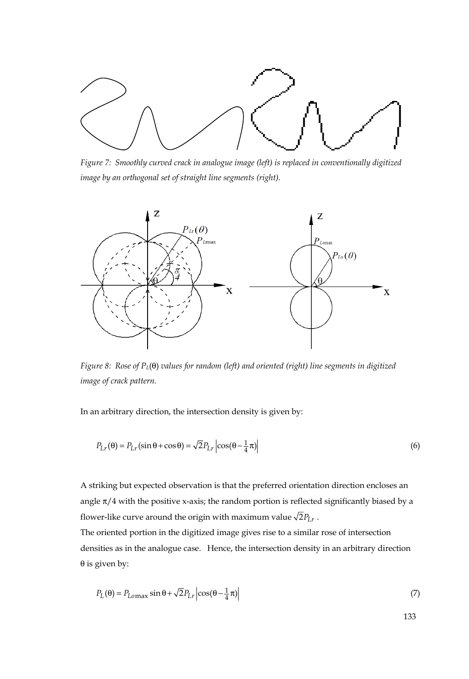

*Figure 7: Smoothly curved crack in analogue image (left) is replaced in conventionally digitized image by an orthogonal set of straight line segments (right).* 



*Figure 8: Rose of PL*(θ) *values for random (left) and oriented (right) line segments in digitized image of crack pattern.* 

In an arbitrary direction, the intersection density is given by:

$$
P_{Lr}(\theta) = P_{Lr}(\sin \theta + \cos \theta) = \sqrt{2} P_{Lr} \left| \cos(\theta - \frac{1}{4}\pi) \right| \tag{6}
$$

A striking but expected observation is that the preferred orientation direction encloses an angle  $\pi/4$  with the positive x-axis; the random portion is reflected significantly biased by a flower-like curve around the origin with maximum value  $\sqrt{2}P_{Lr}$ .

The oriented portion in the digitized image gives rise to a similar rose of intersection densities as in the analogue case. Hence, the intersection density in an arbitrary direction θ is given by:

$$
P_L(\theta) = P_{Lomax} \sin \theta + \sqrt{2} P_{Lr} \left| \cos(\theta - \frac{1}{4}\pi) \right| \tag{7}
$$

133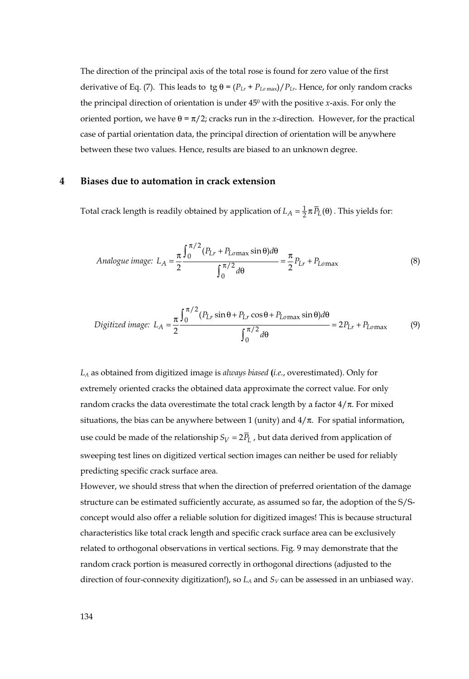The direction of the principal axis of the total rose is found for zero value of the first derivative of Eq. (7). This leads to tg  $\theta = (P_{Lr} + P_{Lomax})/P_{Lr}$ . Hence, for only random cracks the principal direction of orientation is under 450 with the positive *x*-axis. For only the oriented portion, we have  $θ = π/2$ ; cracks run in the *x*-direction. However, for the practical case of partial orientation data, the principal direction of orientation will be anywhere between these two values. Hence, results are biased to an unknown degree.

#### **4 Biases due to automation in crack extension**

Total crack length is readily obtained by application of  $L_A = \frac{1}{2} \pi \overline{P}_L(\theta)$ . This yields for:

Analogue image: 
$$
L_A = \frac{\pi}{2} \frac{\int_0^{\pi/2} (P_{Lr} + P_{Lomax} \sin \theta) d\theta}{\int_0^{\pi/2} d\theta} = \frac{\pi}{2} P_{Lr} + P_{Lomax}
$$
(8)

$$
Digital\ image: L_A = \frac{\pi}{2} \frac{\int_0^{\pi/2} (P_{Lr} \sin \theta + P_{Lr} \cos \theta + P_{Lomax} \sin \theta) d\theta}{\int_0^{\pi/2} d\theta} = 2P_{Lr} + P_{Lomax}
$$
(9)

*LA* as obtained from digitized image is *always biased* **(***i.e.*, overestimated). Only for extremely oriented cracks the obtained data approximate the correct value. For only random cracks the data overestimate the total crack length by a factor  $4/\pi$ . For mixed situations, the bias can be anywhere between 1 (unity) and  $4/π$ . For spatial information, use could be made of the relationship  $S_V = 2\overline{P}_L$ , but data derived from application of sweeping test lines on digitized vertical section images can neither be used for reliably predicting specific crack surface area.

However, we should stress that when the direction of preferred orientation of the damage structure can be estimated sufficiently accurate, as assumed so far, the adoption of the S/Sconcept would also offer a reliable solution for digitized images! This is because structural characteristics like total crack length and specific crack surface area can be exclusively related to orthogonal observations in vertical sections. Fig. 9 may demonstrate that the random crack portion is measured correctly in orthogonal directions (adjusted to the direction of four-connexity digitization!), so  $L_A$  and  $S_V$  can be assessed in an unbiased way.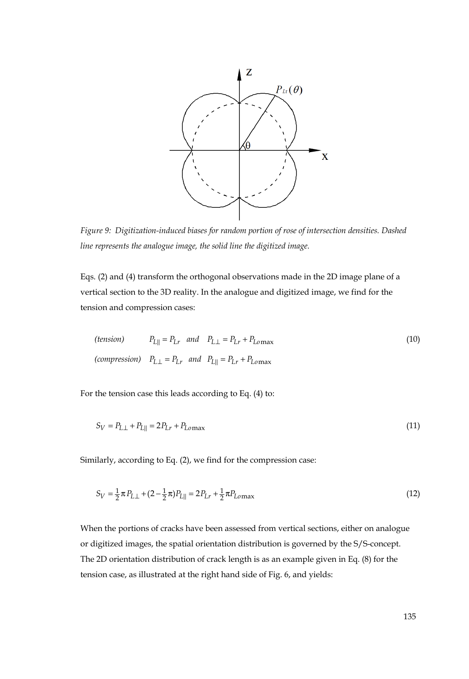

*Figure 9: Digitization-induced biases for random portion of rose of intersection densities. Dashed line represents the analogue image, the solid line the digitized image.* 

Eqs. (2) and (4) transform the orthogonal observations made in the 2D image plane of a vertical section to the 3D reality. In the analogue and digitized image, we find for the tension and compression cases:

(tension) 
$$
P_{L\parallel} = P_{Lr}
$$
 and  $P_{L\perp} = P_{Lr} + P_{Lomax}$  (10)  
(compression)  $P_{L\perp} = P_{Lr}$  and  $P_{L\parallel} = P_{Lr} + P_{Lomax}$ 

For the tension case this leads according to Eq. (4) to:

$$
S_V = P_{L\perp} + P_{L||} = 2P_{Lr} + P_{Lomax}
$$
\n(11)

Similarly, according to Eq. (2), we find for the compression case:

$$
S_V = \frac{1}{2}\pi P_{L\perp} + (2 - \frac{1}{2}\pi)P_{L\parallel} = 2P_{Lr} + \frac{1}{2}\pi P_{Lomax}
$$
\n(12)

When the portions of cracks have been assessed from vertical sections, either on analogue or digitized images, the spatial orientation distribution is governed by the S/S-concept. The 2D orientation distribution of crack length is as an example given in Eq. (8) for the tension case, as illustrated at the right hand side of Fig. 6, and yields: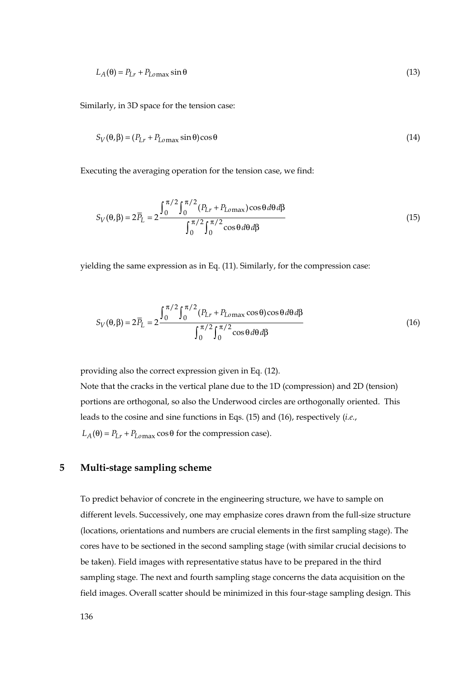$$
L_A(\theta) = P_{Lr} + P_{Lomax} \sin \theta \tag{13}
$$

Similarly, in 3D space for the tension case:

$$
S_V(\theta, \beta) = (P_{Lr} + P_{Lomax} \sin \theta) \cos \theta \tag{14}
$$

Executing the averaging operation for the tension case, we find:

$$
S_V(\theta, \beta) = 2\overline{P}_L = 2 \frac{\int_0^{\pi/2} \int_0^{\pi/2} (P_{Lr} + P_{Lomax}) \cos\theta \,d\theta \,d\beta}{\int_0^{\pi/2} \int_0^{\pi/2} \cos\theta \,d\theta \,d\beta}
$$
(15)

yielding the same expression as in Eq. (11). Similarly, for the compression case:

$$
S_V(\theta, \beta) = 2\overline{P}_L = 2 \frac{\int_0^{\pi/2} \int_0^{\pi/2} (P_{Lr} + P_{Lomax} \cos \theta) \cos \theta d\theta d\beta}{\int_0^{\pi/2} \int_0^{\pi/2} \cos \theta d\theta d\beta}
$$
(16)

providing also the correct expression given in Eq. (12).

Note that the cracks in the vertical plane due to the 1D (compression) and 2D (tension) portions are orthogonal, so also the Underwood circles are orthogonally oriented. This leads to the cosine and sine functions in Eqs. (15) and (16), respectively (*i.e.*,  $L_A(\theta) = P_{Lr} + P_{Lomax} \cos \theta$  for the compression case).

# **5 Multi-stage sampling scheme**

To predict behavior of concrete in the engineering structure, we have to sample on different levels. Successively, one may emphasize cores drawn from the full-size structure (locations, orientations and numbers are crucial elements in the first sampling stage). The cores have to be sectioned in the second sampling stage (with similar crucial decisions to be taken). Field images with representative status have to be prepared in the third sampling stage. The next and fourth sampling stage concerns the data acquisition on the field images. Overall scatter should be minimized in this four-stage sampling design. This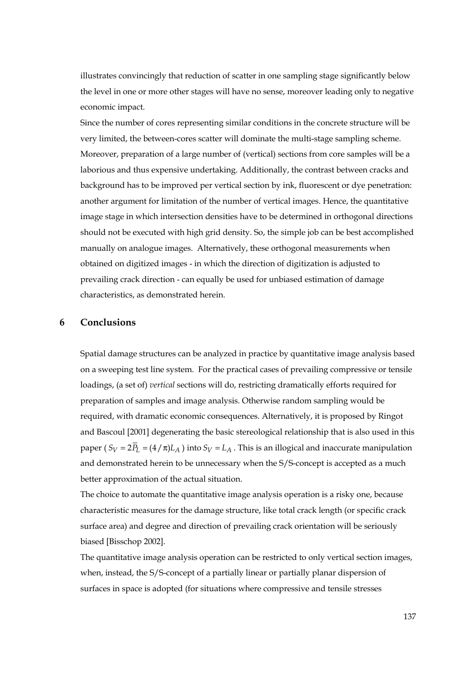illustrates convincingly that reduction of scatter in one sampling stage significantly below the level in one or more other stages will have no sense, moreover leading only to negative economic impact.

Since the number of cores representing similar conditions in the concrete structure will be very limited, the between-cores scatter will dominate the multi-stage sampling scheme. Moreover, preparation of a large number of (vertical) sections from core samples will be a laborious and thus expensive undertaking. Additionally, the contrast between cracks and background has to be improved per vertical section by ink, fluorescent or dye penetration: another argument for limitation of the number of vertical images. Hence, the quantitative image stage in which intersection densities have to be determined in orthogonal directions should not be executed with high grid density. So, the simple job can be best accomplished manually on analogue images. Alternatively, these orthogonal measurements when obtained on digitized images - in which the direction of digitization is adjusted to prevailing crack direction - can equally be used for unbiased estimation of damage characteristics, as demonstrated herein.

## **6 Conclusions**

Spatial damage structures can be analyzed in practice by quantitative image analysis based on a sweeping test line system. For the practical cases of prevailing compressive or tensile loadings, (a set of) *vertical* sections will do, restricting dramatically efforts required for preparation of samples and image analysis. Otherwise random sampling would be required, with dramatic economic consequences. Alternatively, it is proposed by Ringot and Bascoul [2001] degenerating the basic stereological relationship that is also used in this paper (  $S_V = 2\overline{P}_L = (4/\pi)L_A$  ) into  $S_V = L_A$ . This is an illogical and inaccurate manipulation and demonstrated herein to be unnecessary when the S/S-concept is accepted as a much better approximation of the actual situation.

The choice to automate the quantitative image analysis operation is a risky one, because characteristic measures for the damage structure, like total crack length (or specific crack surface area) and degree and direction of prevailing crack orientation will be seriously biased [Bisschop 2002].

The quantitative image analysis operation can be restricted to only vertical section images, when, instead, the S/S-concept of a partially linear or partially planar dispersion of surfaces in space is adopted (for situations where compressive and tensile stresses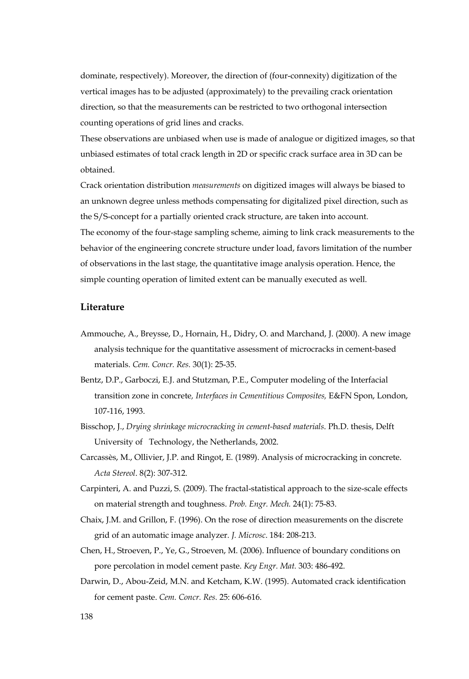dominate, respectively). Moreover, the direction of (four-connexity) digitization of the vertical images has to be adjusted (approximately) to the prevailing crack orientation direction, so that the measurements can be restricted to two orthogonal intersection counting operations of grid lines and cracks.

These observations are unbiased when use is made of analogue or digitized images, so that unbiased estimates of total crack length in 2D or specific crack surface area in 3D can be obtained.

Crack orientation distribution *measurements* on digitized images will always be biased to an unknown degree unless methods compensating for digitalized pixel direction, such as the S/S-concept for a partially oriented crack structure, are taken into account. The economy of the four-stage sampling scheme, aiming to link crack measurements to the behavior of the engineering concrete structure under load, favors limitation of the number of observations in the last stage, the quantitative image analysis operation. Hence, the simple counting operation of limited extent can be manually executed as well.

#### **Literature**

- Ammouche, A., Breysse, D., Hornain, H., Didry, O. and Marchand, J. (2000). A new image analysis technique for the quantitative assessment of microcracks in cement-based materials. *Cem. Concr. Res.* 30(1): 25-35.
- Bentz, D.P., Garboczi, E.J. and Stutzman, P.E., Computer modeling of the Interfacial transition zone in concrete*, Interfaces in Cementitious Composites,* E&FN Spon, London, 107-116, 1993.
- Bisschop, J., *Drying shrinkage microcracking in cement-based materials*. Ph.D. thesis, Delft University of Technology, the Netherlands, 2002.
- Carcassès, M., Ollivier, J.P. and Ringot, E. (1989). Analysis of microcracking in concrete. *Acta Stereol*. 8(2): 307-312.
- Carpinteri, A. and Puzzi, S. (2009). The fractal-statistical approach to the size-scale effects on material strength and toughness. *Prob. Engr. Mech.* 24(1): 75-83.
- Chaix, J.M. and Grillon, F. (1996). On the rose of direction measurements on the discrete grid of an automatic image analyzer. *J. Microsc*. 184: 208-213.
- Chen, H., Stroeven, P., Ye, G., Stroeven, M. (2006). Influence of boundary conditions on pore percolation in model cement paste. *Key Engr. Mat.* 303: 486-492.
- Darwin, D., Abou-Zeid, M.N. and Ketcham, K.W. (1995). Automated crack identification for cement paste. *Cem. Concr. Res.* 25: 606-616.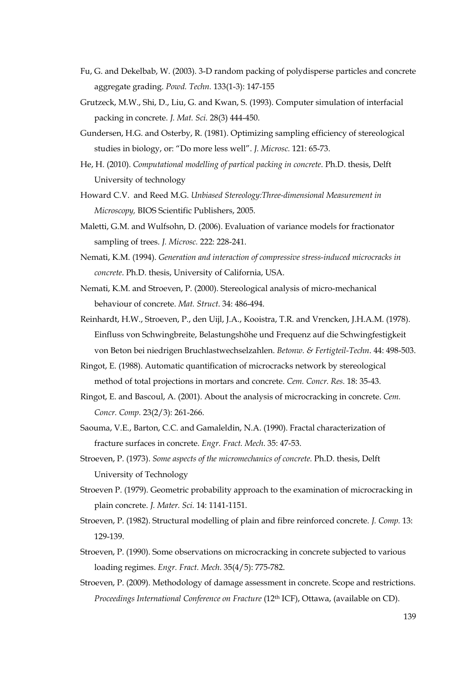- Fu, G. and Dekelbab, W. (2003). 3-D random packing of polydisperse particles and concrete aggregate grading. *Powd. Techn.* 133(1-3): 147-155
- Grutzeck, M.W., Shi, D., Liu, G. and Kwan, S. (1993). Computer simulation of interfacial packing in concrete. *J. Mat. Sci.* 28(3) 444-450.
- Gundersen, H.G. and Osterby, R. (1981). Optimizing sampling efficiency of stereological studies in biology, or: "Do more less well". *J. Microsc.* 121: 65-73.
- He, H. (2010). *Computational modelling of partical packing in concrete*. Ph.D. thesis, Delft University of technology
- Howard C.V. and Reed M.G. *Unbiased Stereology:Three-dimensional Measurement in Microscopy,* BIOS Scientific Publishers, 2005.
- Maletti, G.M. and Wulfsohn, D. (2006). Evaluation of variance models for fractionator sampling of trees. *J. Microsc.* 222: 228-241.
- Nemati, K.M. (1994). *Generation and interaction of compressive stress-induced microcracks in concrete*. Ph.D. thesis, University of California, USA.
- Nemati, K.M. and Stroeven, P. (2000). Stereological analysis of micro-mechanical behaviour of concrete. *Mat. Struct*. 34: 486-494.
- Reinhardt, H.W., Stroeven, P., den Uijl, J.A., Kooistra, T.R. and Vrencken, J.H.A.M. (1978). Einfluss von Schwingbreite, Belastungshöhe und Frequenz auf die Schwingfestigkeit von Beton bei niedrigen Bruchlastwechselzahlen. *Betonw. & Fertigteil-Techn*. 44: 498-503.
- Ringot, E. (1988). Automatic quantification of microcracks network by stereological method of total projections in mortars and concrete. *Cem. Concr. Res.* 18: 35-43.
- Ringot, E. and Bascoul, A. (2001). About the analysis of microcracking in concrete. *Cem. Concr. Comp.* 23(2/3): 261-266.
- Saouma, V.E., Barton, C.C. and Gamaleldin, N.A. (1990). Fractal characterization of fracture surfaces in concrete. *Engr. Fract. Mech*. 35: 47-53.
- Stroeven, P. (1973). *Some aspects of the micromechanics of concrete.* Ph.D. thesis, Delft University of Technology
- Stroeven P. (1979). Geometric probability approach to the examination of microcracking in plain concrete. *J. Mater. Sci.* 14: 1141-1151.
- Stroeven, P. (1982). Structural modelling of plain and fibre reinforced concrete. *J. Comp.* 13: 129-139.
- Stroeven, P. (1990). Some observations on microcracking in concrete subjected to various loading regimes. *Engr. Fract. Mech*. 35(4/5): 775-782.
- Stroeven, P. (2009). Methodology of damage assessment in concrete. Scope and restrictions. *Proceedings International Conference on Fracture* (12<sup>th</sup> ICF), Ottawa, (available on CD).